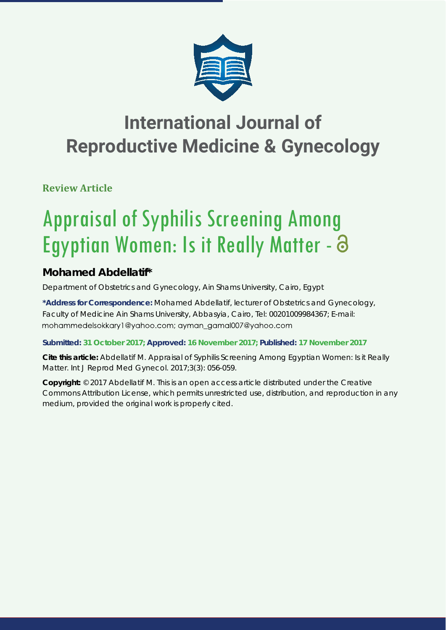

## **International Journal of Reproductive Medicine & Gynecology**

**Review Article**

# Appraisal of Syphilis Screening Among Egyptian Women: Is it Really Matter -  $\partial$

## **Mohamed Abdellatif\***

*Department of Obstetrics and Gynecology, Ain Shams University, Cairo, Egypt*

**\*Address for Correspondence:** Mohamed Abdellatif, lecturer of Obstetrics and Gynecology, Faculty of Medicine Ain Shams University, Abbasyia, Cairo, Tel: 00201009984367; E-mail: mohammedelsokkary1@yahoo.com; ayman\_gamal007@yahoo.com

### **Submitted: 31 October 2017; Approved: 16 November 2017; Published: 17 November 2017**

**Cite this article:** Abdellatif M. Appraisal of Syphilis Screening Among Egyptian Women: Is it Really Matter. Int J Reprod Med Gynecol. 2017;3(3): 056-059.

**Copyright:** © 2017 Abdellatif M. This is an open access article distributed under the Creative Commons Attribution License, which permits unrestricted use, distribution, and reproduction in any medium, provided the original work is properly cited.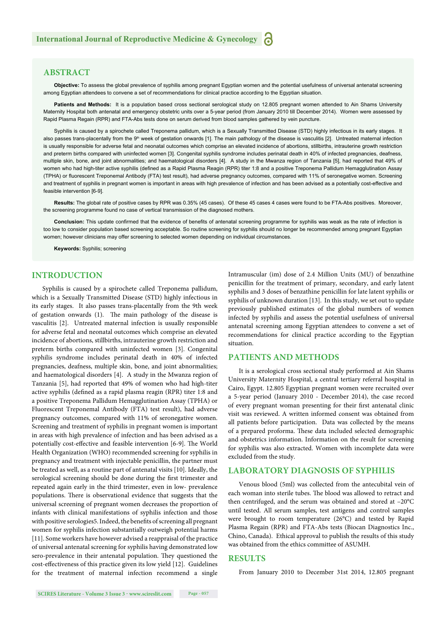#### **ABSTRACT**

**Objective:** To assess the global prevalence of syphilis among pregnant Egyptian women and the potential usefulness of universal antenatal screening among Egyptian attendees to convene a set of recommendations for clinical practice according to the Egyptian situation.

Patients and Methods: It is a population based cross sectional serological study on 12.805 pregnant women attended to Ain Shams University Maternity Hospital both antenatal and emergency obstetric units over a 5-year period (from January 2010 till December 2014). Women were assessed by Rapid Plasma Regain (RPR) and FTA-Abs tests done on serum derived from blood samples gathered by vein puncture.

Syphilis is caused by a spirochete called Treponema pallidum, which is a Sexually Transmitted Disease (STD) highly infectious in its early stages. It also passes trans-placentally from the 9<sup>th</sup> week of gestation onwards [1]. The main pathology of the disease is vasculitis [2]. Untreated maternal infection is usually responsible for adverse fetal and neonatal outcomes which comprise an elevated incidence of abortions, stillbirths, intrauterine growth restriction and preterm births compared with uninfected women [3]. Congenital syphilis syndrome includes perinatal death in 40% of infected pregnancies, deafness, multiple skin, bone, and joint abnormalities; and haematological disorders [4]. A study in the Mwanza region of Tanzania [5], had reported that 49% of women who had high-titer active syphilis (defined as a Rapid Plasma Reagin (RPR) titer 1:8 and a positive Treponema Pallidum Hemagglutination Assay (TPHA) or fl uorescent Treponemal Antibody (FTA) test result), had adverse pregnancy outcomes, compared with 11% of seronegative women. Screening and treatment of syphilis in pregnant women is important in areas with high prevalence of infection and has been advised as a potentially cost-effective and feasible intervention [6-9].

**Results:** The global rate of positive cases by RPR was 0.35% (45 cases). Of these 45 cases 4 cases were found to be FTA-Abs positives. Moreover, the screening programme found no case of vertical transmission of the diagnosed mothers.

Conclusion: This update confirmed that the evidence of benefits of antenatal screening programme for syphilis was weak as the rate of infection is too low to consider population based screening acceptable. So routine screening for syphilis should no longer be recommended among pregnant Egyptian women; however clinicians may offer screening to selected women depending on individual circumstances.

**Keywords:** Syphilis; screening

#### **INTRODUCTION**

Syphilis is caused by a spirochete called Treponema pallidum, which is a Sexually Transmitted Disease (STD) highly infectious in its early stages. It also passes trans-placentally from the 9th week of gestation onwards  $(1)$ . The main pathology of the disease is vasculitis [2]. Untreated maternal infection is usually responsible for adverse fetal and neonatal outcomes which comprise an elevated incidence of abortions, stillbirths, intrauterine growth restriction and preterm births compared with uninfected women [3]. Congenital syphilis syndrome includes perinatal death in 40% of infected pregnancies, deafness, multiple skin, bone, and joint abnormalities; and haematological disorders [4]. A study in the Mwanza region of Tanzania [5], had reported that 49% of women who had high-titer active syphilis (defined as a rapid plasma reagin (RPR) titer 1:8 and a positive Treponema Pallidum Hemagglutination Assay (TPHA) or Fluorescent Treponemal Antibody (FTA) test result), had adverse pregnancy outcomes, compared with 11% of seronegative women. Screening and treatment of syphilis in pregnant women is important in areas with high prevalence of infection and has been advised as a potentially cost-effective and feasible intervention [6-9]. The World Health Organization (WHO) recommended screening for syphilis in pregnancy and treatment with injectable penicillin, the partner must be treated as well, as a routine part of antenatal visits [10]. Ideally, the serological screening should be done during the first trimester and repeated again early in the third trimester, even in low- prevalence populations. There is observational evidence that suggests that the universal screening of pregnant women decreases the proportion of infants with clinical manifestations of syphilis infection and those with positive serologies5. Indeed, the benefits of screening all pregnant women for syphilis infection substantially outweigh potential harms [11]. Some workers have however advised a reappraisal of the practice of universal antenatal screening for syphilis having demonstrated low sero-prevalence in their antenatal population. They questioned the cost-effectiveness of this practice given its low yield [12]. Guidelines for the treatment of maternal infection recommend a single Intramuscular (im) dose of 2.4 Million Units (MU) of benzathine penicillin for the treatment of primary, secondary, and early latent syphilis and 3 doses of benzathine penicillin for late latent syphilis or syphilis of unknown duration [13]. In this study, we set out to update previously published estimates of the global numbers of women infected by syphilis and assess the potential usefulness of universal antenatal screening among Egyptian attendees to convene a set of recommendations for clinical practice according to the Egyptian situation.

#### **PATIENTS AND METHODS**

It is a serological cross sectional study performed at Ain Shams University Maternity Hospital, a central tertiary referral hospital in Cairo, Egypt. 12.805 Egyptian pregnant women were recruited over a 5-year period (January 2010 - December 2014), the case record of every pregnant woman presenting for their first antenatal clinic visit was reviewed. A written informed consent was obtained from all patients before participation. Data was collected by the means of a prepared proforma. These data included selected demographic and obstetrics information. Information on the result for screening for syphilis was also extracted. Women with incomplete data were excluded from the study.

#### **LABORATORY DIAGNOSIS OF SYPHILIS**

Venous blood (5ml) was collected from the antecubital vein of each woman into sterile tubes. The blood was allowed to retract and then centrifuged, and the serum was obtained and stored at –20°C until tested. All serum samples, test antigens and control samples were brought to room temperature (26°C) and tested by Rapid Plasma Regain (RPR) and FTA-Abs tests (Biocan Diagnostics Inc., Chino, Canada). Ethical approval to publish the results of this study was obtained from the ethics committee of ASUMH.

#### **RESULTS**

From January 2010 to December 31st 2014, 12.805 pregnant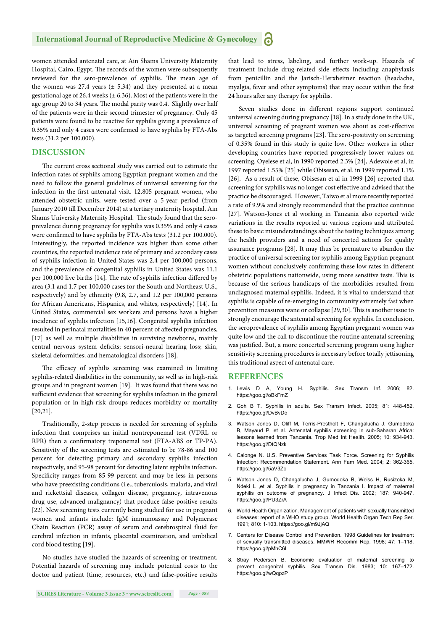#### **International Journal of Reproductive Medicine & Gynecology**

women attended antenatal care, at Ain Shams University Maternity Hospital, Cairo, Egypt. The records of the women were subsequently reviewed for the sero-prevalence of syphilis. The mean age of the women was 27.4 years  $(\pm 5.34)$  and they presented at a mean gestational age of 26.4 weeks ( $\pm$  6.36). Most of the patients were in the age group 20 to 34 years. The modal parity was 0.4. Slightly over half of the patients were in their second trimester of pregnancy. Only 45 patients were found to be reactive for syphilis giving a prevalence of 0.35% and only 4 cases were confirmed to have syphilis by FTA-Abs tests (31.2 per 100.000).

#### **DISCUSSION**

The current cross sectional study was carried out to estimate the infection rates of syphilis among Egyptian pregnant women and the need to follow the general guidelines of universal screening for the infection in the first antenatal visit. 12.805 pregnant women, who attended obstetric units, were tested over a 5-year period (from January 2010 till December 2014) at a tertiary maternity hospital, Ain Shams University Maternity Hospital. The study found that the seroprevalence during pregnancy for syphilis was 0.35% and only 4 cases were confirmed to have syphilis by FTA-Abs tests (31.2 per 100.000). Interestingly, the reported incidence was higher than some other countries, the reported incidence rate of primary and secondary cases of syphilis infection in United States was 2.4 per 100,000 persons, and the prevalence of congenital syphilis in United States was 11.1 per 100,000 live births [14]. The rate of syphilis infection differed by area (3.1 and 1.7 per 100,000 cases for the South and Northeast U.S., respectively) and by ethnicity (9.8, 2.7, and 1.2 per 100,000 persons for African Americans, Hispanics, and whites, respectively) [14]. In United States, commercial sex workers and persons have a higher incidence of syphilis infection [15,16]. Congenital syphilis infection resulted in perinatal mortalities in 40 percent of affected pregnancies, [17] as well as multiple disabilities in surviving newborns, mainly central nervous system deficits; sensori-neural hearing loss; skin, skeletal deformities; and hematological disorders [18].

The efficacy of syphilis screening was examined in limiting syphilis-related disabilities in the community, as well as in high-risk groups and in pregnant women [19]. It was found that there was no sufficient evidence that screening for syphilis infection in the general population or in high-risk droups reduces morbidity or mortality [20,21].

Traditionally, 2-step process is needed for screening of syphilis infection that comprises an initial nontreponemal test (VDRL or RPR) then a confirmatory treponemal test (FTA-ABS or TP-PA). Sensitivity of the screening tests are estimated to be 78-86 and 100 percent for detecting primary and secondary syphilis infection respectively, and 95-98 percent for detecting latent syphilis infection. Specificity ranges from 85-99 percent and may be less in persons who have preexisting conditions (i.e., tuberculosis, malaria, and viral and rickettsial diseases, collagen disease, pregnancy, intravenous drug use, advanced malignancy) that produce false-positive results [22]. New screening tests currently being studied for use in pregnant women and infants include: IgM immunoassay and Polymerase Chain Reaction (PCR) assay of serum and cerebrospinal fluid for cerebral infection in infants, placental examination, and umbilical cord blood testing [19].

No studies have studied the hazards of screening or treatment. Potential hazards of screening may include potential costs to the doctor and patient (time, resources, etc.) and false-positive results that lead to stress, labeling, and further work-up. Hazards of treatment include drug-related side effects including anaphylaxis from penicillin and the Jarisch-Herxheimer reaction (headache, myalgia, fever and other symptoms) that may occur within the first 24 hours after any therapy for syphilis.

Seven studies done in different regions support continued universal screening during pregnancy [18]. In a study done in the UK, universal screening of pregnant women was about as cost-effective as targeted screening programs [23]. The sero-positivity on screening of 0.35% found in this study is quite low. Other workers in other developing countries have reported progressively lower values on screening. Oyelese et al, in 1990 reported 2.3% [24], Adewole et al, in 1997 reported 1.55% [25] while Obisesan, et al. in 1999 reported 1.1% [26]. As a result of these, Obisesan et al in 1999 [26] reported that screening for syphilis was no longer cost effective and advised that the practice be discouraged. However, Taiwo et al more recently reported a rate of 9.9% and strongly recommended that the practice continue [27]. Watson-Jones et al working in Tanzania also reported wide variations in the results reported at various regions and attributed these to basic misunderstandings about the testing techniques among the health providers and a need of concerted actions for quality assurance programs [28]. It may thus be premature to abandon the practice of universal screening for syphilis among Egyptian pregnant women without conclusively confirming these low rates in different obstetric populations nationwide, using more sensitive tests. This is because of the serious handicaps of the morbidities resulted from undiagnosed maternal syphilis. Indeed, it is vital to understand that syphilis is capable of re-emerging in community extremely fast when prevention measures wane or collapse [29,30]. This is another issue to strongly encourage the antenatal screening for syphilis. In conclusion, the seroprevalence of syphilis among Egyptian pregnant women was quite low and the call to discontinue the routine antenatal screening was justified. But, a more concerted screening program using higher sensitivity screening procedures is necessary before totally jettisoning this traditional aspect of antenatal care.

#### **REFERENCES**

- 1. Lewis D A, Young H. Syphilis. Sex Transm Inf. 2006; 82. https://goo.gl/oBkFmZ
- 2. Goh B T. Syphilis in adults. Sex Transm Infect. 2005; 81: 448-452. https://goo.gl/DvBvDc
- 3. Watson Jones D, Oliff M, Terris-Prestholt F, Changalucha J, Gumodoka B, Mayaud P, et al. Antenatal syphilis screening in sub-Saharan Africa: lessons learned from Tanzania. Trop Med Int Health. 2005; 10: 934-943. https://goo.gl/DtQNzk
- 4. Calonge N. U.S. Preventive Services Task Force. Screening for Syphilis Infection: Recommendation Statement. Ann Fam Med. 2004; 2: 362-365. https://goo.gl/5aV3Zo
- 5. Watson Jones D, Changalucha J, Gumodoka B, Weiss H, Rusizoka M, Ndeki L ,et al. Syphilis in pregnancy in Tanzania I. Impact of maternal syphilis on outcome of pregnancy. J Infect Dis. 2002; 187: 940-947. https://goo.gl/PU3ZrA
- 6. World Health Organization. Management of patients with sexually transmitted diseases: report of a WHO study group. World Health Organ Tech Rep Ser. 1991; 810: 1-103. https://goo.gl/m9JjAQ
- 7. Centers for Disease Control and Prevention. 1998 Guidelines for treatment of sexually transmitted diseases. MMWR Recomm Rep. 1998; 47: 1–118. https://goo.gl/pMhC6L
- 8. Stray Pedersen B. Economic evaluation of maternal screening to prevent congenital syphilis. Sex Transm Dis. 1983; 10: 167–172. https://goo.gl/wQqpzP